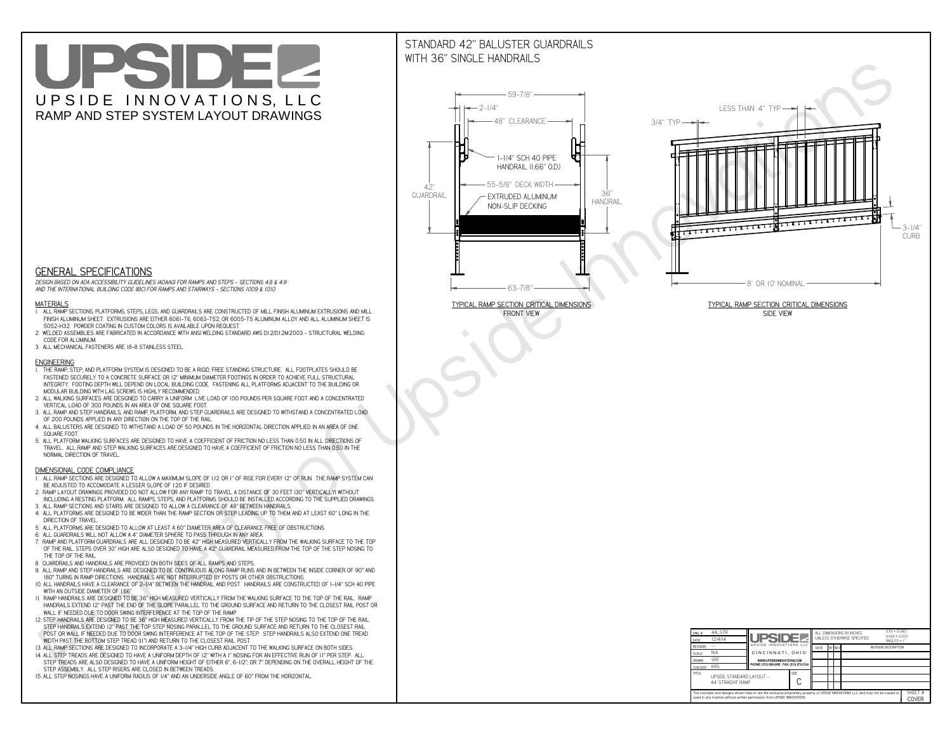# UPSIDEL UPSIDE INNOVATIONS, LLC RAMP AND STEP SYSTEM LAYOUT DRAWINGS

## STANDARD 42" BALUSTER GUARDRAILSWITH 36" SINGLE HANDRAILS

**FRONT VIEW**





**GENERAL SPECIFICATIONS**

 *DESIGN BASED ON ADA ACCESSIBILITY GUIDELINES (ADAAG) FOR RAMPS AND STEPS - SECTIONS 4.8 & 4.9AND THE INTERNATIONAL BUILDING CODE (IBC) FOR RAMPS AND STAIRWAYS - SECTIONS 1009 & 1010*

#### **MATERIALS**

- **1. ALL RAMP SECTIONS, PLATFORMS, STEPS, LEGS, AND GUARDRAILS ARE CONSTRUCTED OF MILL FINISH ALUMINUM EXTRUSIONS AND MILL FINISH ALUMINUM SHEET. EXTRUSIONS ARE EITHER 6061-T6, 6063-T52, OR 6005-T5 ALUMINUM ALLOY AND ALL ALUMINUM SHEET IS 5052-H32. POWDER COATING IN CUSTOM COLORS IS AVAILABLE UPON REQUEST.**
- **2. WELDED ASSEMBLIES ARE FABRICATED IN ACCORDANCE WITH ANSI WELDING STANDARD AWS D1.2/D1.2M:2003 STRUCTURAL WELDING CODE FOR ALUMINUM.**
- **3. ALL MECHANICAL FASTENERS ARE 18-8 STAINLESS STEEL.**

#### **ENGINEERING**

- **1. THE RAMP, STEP, AND PLATFORM SYSTEM IS DESIGNED TO BE A RIGID, FREE STANDING STRUCTURE. ALL FOOTPLATES SHOULD BE FASTENED SECURELY TO A CONCRETE SURFACE OR 12" MINIMUM DIAMETER FOOTINGS IN ORDER TO ACHIEVE FULL STRUCTURAL INTEGRITY. FOOTING DEPTH WILL DEPEND ON LOCAL BUILDING CODE. FASTENING ALL PLATFORMS ADJACENT TO THE BUILDING OR MODULAR BUILDING WITH LAG SCREWS IS HIGHLY RECOMMENDED.**
- **2. ALL WALKING SURFACES ARE DESIGNED TO CARRY A UNIFORM LIVE LOAD OF 100 POUNDS PER SQUARE FOOT AND A CONCENTRATED VERTICAL LOAD OF 300 POUNDS IN AN AREA OF ONE SQUARE FOOT.**
- **3. ALL RAMP AND STEP HANDRAILS, AND RAMP, PLATFORM, AND STEP GUARDRAILS ARE DESIGNED TO WITHSTAND A CONCENTRATED LOAD OF 200 POUNDS APPLIED IN ANY DIRECTION ON THE TOP OF THE RAIL.**
- **4. ALL BALUSTERS ARE DESIGNED TO WITHSTAND A LOAD OF 50 POUNDS IN THE HORIZONTAL DIRECTION APPLIED IN AN AREA OF ONE SQUARE FOOT.**
- **5. ALL PLATFORM WALKING SURFACES ARE DESIGNED TO HAVE A COEFFICIENT OF FRICTION NO LESS THAN 0.50 IN ALL DIRECTIONS OF TRAVEL. ALL RAMP AND STEP WALKING SURFACES ARE DESIGNED TO HAVE A COEFFICIENT OF FRICTION NO LESS THAN 0.50 IN THE NORMAL DIRECTION OF TRAVEL.**

| $DWG.$ #<br>DATE                                                                                                                                                                                            | 44_STR<br>12/4/14                             | UPSIDEL                                   |  | ALL DIMENSIONS IN INCHES<br>UNI FSS OTHERWISE SPECIFIED |  |               | $XXX = 0.060"$<br>$XXX \pm 0.015$ "<br>ANGLES $\pm$ 1° |                             |  |
|-------------------------------------------------------------------------------------------------------------------------------------------------------------------------------------------------------------|-----------------------------------------------|-------------------------------------------|--|---------------------------------------------------------|--|---------------|--------------------------------------------------------|-----------------------------|--|
| <b>REVISION</b>                                                                                                                                                                                             |                                               | UPSIDE INNOVATIONS LLC                    |  | DATE                                                    |  | <b>BY REV</b> |                                                        | <b>REVISION DESCRIPTION</b> |  |
| <b>SCALE</b>                                                                                                                                                                                                | N/A                                           | CINCINNATI, OHIO                          |  |                                                         |  |               |                                                        |                             |  |
| <b>DRAWN</b>                                                                                                                                                                                                | <b>SRF</b>                                    | WWW.UPSIDEINNOVATIONS.COM                 |  |                                                         |  |               |                                                        |                             |  |
| CHECKED                                                                                                                                                                                                     | <b>KRS</b>                                    | PHONE: (513) 889-2492 FAX: (513) 672-2124 |  |                                                         |  |               |                                                        |                             |  |
| <b>TITLE</b>                                                                                                                                                                                                | UPSIDE STANDARD LAYOUT -<br>44' STRAIGHT RAMP |                                           |  |                                                         |  |               |                                                        |                             |  |
| The concepts and designs shown here-in are the exclusive proprietary property of UPSIDE INNOVATIONS LLC. and may not be copied or<br>used in any manner without written permission from UPSIDE INNOVATIONS. |                                               |                                           |  |                                                         |  |               |                                                        | SHEET #<br>COVER            |  |

### **DIMENSIONAL CODE COMPLIANCE**

- **1. ALL RAMP SECTIONS ARE DESIGNED TO ALLOW A MAXIMUM SLOPE OF 1:12 OR 1" OF RISE FOR EVERY 12" OF RUN. THE RAMP SYSTEM CAN BE ADJUSTED TO ACCOMODATE A LESSER SLOPE OF 1:20 IF DESIRED.**
- **2. RAMP LAYOUT DRAWINGS PROVIDED DO NOT ALLOW FOR ANY RAMP TO TRAVEL A DISTANCE OF 30 FEET (30" VERTICALLY) WITHOUT INCLUDING A RESTING PLATFORM. ALL RAMPS, STEPS, AND PLATFORMS SHOULD BE INSTALLED ACCORDING TO THE SUPPLIED DRAWINGS.**
- **3. ALL RAMP SECTIONS AND STAIRS ARE DESIGNED TO ALLOW A CLEARANCE OF 48" BETWEEN HANDRAILS.**
- **4. ALL PLATFORMS ARE DESIGNED TO BE WIDER THAN THE RAMP SECTION OR STEP LEADING UP TO THEM AND AT LEAST 60" LONG IN THE DIRECTION OF TRAVEL.**
- **5. ALL PLATFORMS ARE DESIGNED TO ALLOW AT LEAST A 60" DIAMETER AREA OF CLEARANCE FREE OF OBSTRUCTIONS.**
- **6. ALL GUARDRAILS WILL NOT ALLOW A 4" DIAMETER SPHERE TO PASS THROUGH IN ANY AREA.**
- **7. RAMP AND PLATFORM GUARDRAILS ARE ALL DESIGNED TO BE 42" HIGH MEASURED VERTICALLY FROM THE WALKING SURFACE TO THE TOP OF THE RAIL. STEPS OVER 30" HIGH ARE ALSO DESIGNED TO HAVE A 42" GUARDRAIL MEASURED FROM THE TOP OF THE STEP NOSING TO THE TOP OF THE RAIL.**
- **8. GUARDRAILS AND HANDRAILS ARE PROVIDED ON BOTH SIDES OF ALL RAMPS AND STEPS.**
- **9. ALL RAMP AND STEP HANDRAILS ARE DESIGNED TO BE CONTINUOUS ALONG RAMP RUNS AND IN BETWEEN THE INSIDE CORNER OF 90° AND 180° TURNS IN RAMP DIRECTIONS. HANDRAILS ARE NOT INTERRUPTED BY POSTS OR OTHER OBSTRUCTIONS.**
- **10. ALL HANDRAILS HAVE A CLEARANCE OF 2-1/4" BETWEEN THE HANDRAIL AND POST. HANDRAILS ARE CONSTRUCTED OF 1-1/4" SCH 40 PIPE WITH AN OUTSIDE DIAMETER OF 1.66"**
- **11. RAMP HANDRAILS ARE DESIGNED TO BE 36" HIGH MEASURED VERTICALLY FROM THE WALKING SURFACE TO THE TOP OF THE RAIL. RAMP HANDRAILS EXTEND 12" PAST THE END OF THE SLOPE PARALLEL TO THE GROUND SURFACE AND RETURN TO THE CLOSEST RAIL POST OR WALL IF NEEDED DUE TO DOOR SWING INTERFERENCE AT THE TOP OF THE RAMP.**
- **12. STEP HANDRAILS ARE DESIGNED TO BE 36" HIGH MEASURED VERTICALLY FROM THE TIP OF THE STEP NOSING TO THE TOP OF THE RAIL. STEP HANDRAILS EXTEND 12" PAST THE TOP STEP NOSING PARALLEL TO THE GROUND SURFACE AND RETURN TO THE CLOSEST RAIL POST OR WALL IF NEEDED DUE TO DOOR SWING INTERFERENCE AT THE TOP OF THE STEP. STEP HANDRAILS ALSO EXTEND ONE TREAD**
- **WIDTH PAST THE BOTTOM STEP TREAD (11") AND RETURN TO THE CLOSEST RAIL POST.**
- **13. ALL RAMP SECTIONS ARE DESIGNED TO INCORPORATE A 3-1/4" HIGH CURB ADJACENT TO THE WALKING SURFACE ON BOTH SIDES.**
- **14. ALL STEP TREADS ARE DESIGNED TO HAVE A UNIFORM DEPTH OF 12" WITH A 1" NOSING FOR AN EFFECTIVE RUN OF 11" PER STEP. ALL STEP TREADS ARE ALSO DESIGNED TO HAVE A UNIFORM HEIGHT OF EITHER 6", 6-1/2", OR 7" DEPENDING ON THE OVERALL HEIGHT OF THE STEP ASSEMBLY. ALL STEP RISERS ARE CLOSED IN BETWEEN TREADS.**
- **15. ALL STEP NOSINGS HAVE A UNIFORM RADIUS OF 1/4" AND AN UNDERSIDE ANGLE OF 60° FROM THE HORIZONTAL.**